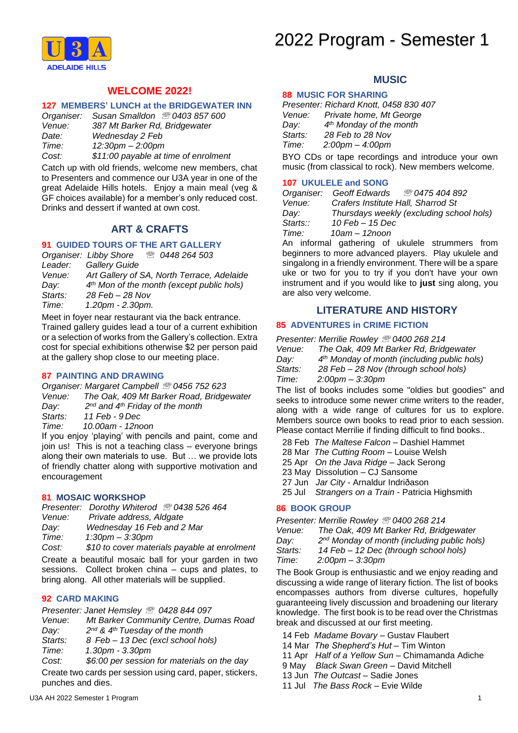# 2022 Program - Semester 1



# **WELCOME 2022!**

### **127 MEMBERS' LUNCH at the BRIDGEWATER INN**

| Organiser: | Susan Smalldon 2 0403 857 600        |
|------------|--------------------------------------|
| Venue:     | 387 Mt Barker Rd, Bridgewater        |
| Date:      | Wednesday 2 Feb                      |
| Time:      | $12:30$ pm $- 2:00$ pm               |
| Cost:      | \$11:00 payable at time of enrolment |

Catch up with old friends, welcome new members, chat to Presenters and commence our U3A year in one of the great Adelaide Hills hotels. Enjoy a main meal (veg & GF choices available) for a member's only reduced cost. Drinks and dessert if wanted at own cost.

## **ART & CRAFTS**

# **91 GUIDED TOURS OF THE ART GALLERY**

|         | Organiser: Libby Shore<br><b>■ 0448 264 503</b>       |
|---------|-------------------------------------------------------|
| Leader: | <b>Gallery Guide</b>                                  |
| Venue:  | Art Gallery of SA, North Terrace, Adelaide            |
| Day:    | 4 <sup>th</sup> Mon of the month (except public hols) |
| Starts: | 28 Feb – 28 Nov                                       |
| Time:   | $1.20$ pm - $2.30$ pm.                                |
|         |                                                       |

Meet in foyer near restaurant via the back entrance*.* Trained gallery guides lead a tour of a current exhibition or a selection of works from the Gallery's collection. Extra cost for special exhibitions otherwise \$2 per person paid at the gallery shop close to our meeting place.

#### **87 PAINTING AND DRAWING**

*Organiser: Margaret Campbell 0456 752 623 Venue: The Oak, 409 Mt Barker Road, Bridgewater Day: 2 nd and 4th Friday of the month Starts: 11 Feb - 9 Dec Time: 10.00am - 12noon*

If you enjoy 'playing' with pencils and paint, come and join us! This is not a teaching class – everyone brings along their own materials to use. But … we provide lots of friendly chatter along with supportive motivation and encouragement

#### **81 MOSAIC WORKSHOP**

| Presenter: Dorothy Whiterod 2 0438 526 464 |  |  |  |  |  |  |
|--------------------------------------------|--|--|--|--|--|--|
|--------------------------------------------|--|--|--|--|--|--|

*Venue: Private address, Aldgate*

- *Day: Wednesday 16 Feb and 2 Mar*
- *Time: 1:30pm – 3:30pm*
- *Cost: \$10 to cover materials payable at enrolment*

Create a beautiful mosaic ball for your garden in two sessions. Collect broken china – cups and plates, to bring along. All other materials will be supplied.

# **92 CARD MAKING**

*Presenter: Janet Hemsley 0428 844 097*

- *Venue*: *Mt Barker Community Centre, Dumas Road*
- *Day: 2 nd & 4th Tuesday of the month*
- *Starts: 8 Feb – 13 Dec (excl school hols)*
- *Time: 1.30pm - 3.30pm*

*Cost: \$6:00 per session for materials on the day*

Create two cards per session using card, paper, stickers, punches and dies.

## **MUSIC**

### **88 MUSIC FOR SHARING**

|               | Presenter: Richard Knott, 0458 830 407                                                                          |
|---------------|-----------------------------------------------------------------------------------------------------------------|
| Venue:        | Private home, Mt George                                                                                         |
| Dav:          | $4th$ Monday of the month                                                                                       |
| Starts:       | 28 Feb to 28 Nov                                                                                                |
| Time:         | $2:00 \text{pm} - 4:00 \text{pm}$                                                                               |
| $\sim$ $\sim$ | the contract of the contract of the contract of the contract of the contract of the contract of the contract of |

BYO CDs or tape recordings and introduce your own music (from classical to rock). New members welcome.

#### **107 UKULELE and SONG**

| <i>™ 0475 404 892</i><br>Organiser: Geoff Edwards |
|---------------------------------------------------|
| Crafers Institute Hall, Sharrod St                |
| Thursdays weekly (excluding school hols)          |
| 10 Feb - 15 Dec                                   |
| $10$ am $- 12$ noon                               |
|                                                   |

An informal gathering of ukulele strummers from beginners to more advanced players. Play ukulele and singalong in a friendly environment. There will be a spare uke or two for you to try if you don't have your own instrument and if you would like to **just** sing along, you are also very welcome.

## **LITERATURE AND HISTORY**

## **85 ADVENTURES in CRIME FICTION**

*Presenter: Merrilie Rowley 0400 268 214*

- *Venue: The Oak, 409 Mt Barker Rd, Bridgewater*
- *Day: 4 th Monday of month (including public hols)*
- *Starts: 28 Feb – 28 Nov (through school hols)*

*Time: 2:00pm – 3:30pm*

The list of books includes some "oldies but goodies" and seeks to introduce some newer crime writers to the reader, along with a wide range of cultures for us to explore. Members source own books to read prior to each session. Please contact Merrilie if finding difficult to find books..

28 Feb *The Maltese Falcon* – Dashiel Hammet

- 28 Mar *The Cutting Room* Louise Welsh
- 25 Apr *On the Java Ridge* Jack Serong
- 23 May Dissolution CJ Sansome
- 27 Jun *Jar City* Arnaldur Indriðason
- 25 Jul *Strangers on a Train* Patricia Highsmith

# **86 BOOK GROUP**

*Presenter: Merrilie Rowley 0400 268 214*

- *Venue: The Oak, 409 Mt Barker Rd, Bridgewater*
- *Day: 2 nd Monday of month (including public hols)*
- *Starts: 14 Feb – 12 Dec (through school hols)*
- *Time: 2:00pm – 3:30pm*

The Book Group is enthusiastic and we enjoy reading and discussing a wide range of literary fiction. The list of books encompasses authors from diverse cultures, hopefully guaranteeing lively discussion and broadening our literary knowledge. The first book is to be read over the Christmas break and discussed at our first meeting.

- 14 Feb *Madame Bovary* Gustav Flaubert
- 14 Mar *The Shepherd's Hut* Tim Winton
- 11 Apr *Half of a Yellow Sun* Chimamanda Adiche
- 9 May *Black Swan Green* David Mitchell
- 13 Jun *The Outcast* Sadie Jones
- 11 Jul *The Bass Rock* Evie Wilde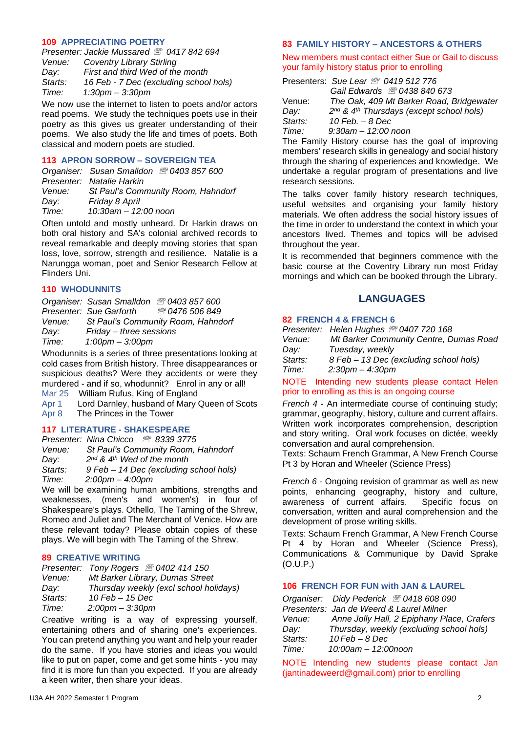### **109 APPRECIATING POETRY**

|         | Presenter: Jackie Mussared 2 0417 842 694 |
|---------|-------------------------------------------|
| Venue:  | <b>Coventry Library Stirling</b>          |
| Dav:    | First and third Wed of the month          |
| Starts: | 16 Feb - 7 Dec (excluding school hols)    |
| Time:   | $1:30$ pm $-3:30$ pm                      |
|         |                                           |

We now use the internet to listen to poets and/or actors read poems. We study the techniques poets use in their poetry as this gives us greater understanding of their poems. We also study the life and times of poets. Both classical and modern poets are studied.

## **113 APRON SORROW – SOVEREIGN TEA**

|        | Organiser: Susan Smalldon 2 0403 857 600 |
|--------|------------------------------------------|
|        | Presenter: Natalie Harkin                |
| Venue: | St Paul's Community Room, Hahndorf       |
| Dav:   | Friday 8 April                           |
| Time:  | $10:30$ am $- 12:00$ noon                |

Often untold and mostly unheard. Dr Harkin draws on both oral history and SA's colonial archived records to reveal remarkable and deeply moving stories that span loss, love, sorrow, strength and resilience. Natalie is a Narungga woman, poet and Senior Research Fellow at Flinders Uni.

#### **110 WHODUNNITS**

|        | Organiser: Susan Smalldon 2 0403 857 600 |                                    |
|--------|------------------------------------------|------------------------------------|
|        | Presenter: Sue Garforth                  | <i><u>® 0476 506 849</u></i>       |
| Venue: |                                          | St Paul's Community Room, Hahndorf |
| Day:   | Friday - three sessions                  |                                    |
| Time:  | $1:00 \text{pm} - 3:00 \text{pm}$        |                                    |

Whodunnits is a series of three presentations looking at cold cases from British history. Three disappearances or suspicious deaths? Were they accidents or were they murdered - and if so, whodunnit? Enrol in any or all! Mar 25 William Rufus, King of England

Apr 1 Lord Darnley, husband of Mary Queen of Scots Apr 8 The Princes in the Tower

## **117 LITERATURE - SHAKESPEARE**

*Presenter: Nina Chicco 8339 3775 Venue: St Paul's Community Room, Hahndorf Day: 2 nd & 4th Wed of the month Starts: 9 Feb – 14 Dec (excluding school hols) Time: 2:00pm – 4:00pm*

We will be examining human ambitions, strengths and weaknesses, (men's and women's) in four of Shakespeare's plays. Othello, The Taming of the Shrew, Romeo and Juliet and The Merchant of Venice. How are these relevant today? Please obtain copies of these plays. We will begin with The Taming of the Shrew.

## **89 CREATIVE WRITING**

| Presenter: Tony Rogers 20402 414 150   |
|----------------------------------------|
| Mt Barker Library, Dumas Street        |
| Thursday weekly (excl school holidays) |
| 10 Feb - 15 Dec                        |
| $2:00$ pm $-3:30$ pm                   |
|                                        |

Creative writing is a way of expressing yourself, entertaining others and of sharing one's experiences. You can pretend anything you want and help your reader do the same. If you have stories and ideas you would like to put on paper, come and get some hints - you may find it is more fun than you expected. If you are already a keen writer, then share your ideas.

### **83 FAMILY HISTORY – ANCESTORS & OTHERS**

New members must contact either Sue or Gail to discuss your family history status prior to enrolling

|         | <b>Presenters: Sue Lear 2 0419 512 776</b>                       |
|---------|------------------------------------------------------------------|
|         | Gail Edwards <sup>3</sup> 0438 840 673                           |
| Venue:  | The Oak, 409 Mt Barker Road, Bridgewater                         |
| Day:    | 2 <sup>nd</sup> & 4 <sup>th</sup> Thursdays (except school hols) |
| Starts: | $10$ Feb. $-$ 8 Dec                                              |
| Time:   | $9:30$ am $-12:00$ noon                                          |

The Family History course has the goal of improving members' research skills in genealogy and social history through the sharing of experiences and knowledge. We undertake a regular program of presentations and live research sessions.

The talks cover family history research techniques, useful websites and organising your family history materials. We often address the social history issues of the time in order to understand the context in which your ancestors lived. Themes and topics will be advised throughout the year.

It is recommended that beginners commence with the basic course at the Coventry Library run most Friday mornings and which can be booked through the Library.

## **LANGUAGES**

## **82 FRENCH 4 & FRENCH 6**

*Presenter: Helen Hughes 0407 720 168*

*Venue: Mt Barker Community Centre, Dumas Road Day: Tuesday, weekly* 

*Starts: 8 Feb – 13 Dec (excluding school hols) Time: 2:30pm – 4:30pm*

NOTE Intending new students please contact Helen prior to enrolling as this is an ongoing course

*French 4* - An intermediate course of continuing study; grammar, geography, history, culture and current affairs. Written work incorporates comprehension, description and story writing. Oral work focuses on dictée, weekly conversation and aural comprehension.

Texts: Schaum French Grammar, A New French Course Pt 3 by Horan and Wheeler (Science Press)

*French 6* - Ongoing revision of grammar as well as new points, enhancing geography, history and culture, awareness of current affairs. Specific focus on conversation, written and aural comprehension and the development of prose writing skills.

Texts: Schaum French Grammar, A New French Course Pt 4 by Horan and Wheeler (Science Press), Communications & Communique by David Sprake (O.U.P.)

## **106 FRENCH FOR FUN with JAN & LAUREL**

*Organiser: Didy Pederick 0418 608 090 Presenters: Jan de Weerd & Laurel Milner Venue: Anne Jolly Hall, 2 Epiphany Place, Crafers Day: Thursday, weekly (excluding school hols) Starts: 10 Feb – 8 Dec Time: 10:00am – 12:00noon*

NOTE Intending new students please contact Jan (jantinadeweerd@gmail.com) prior to enrolling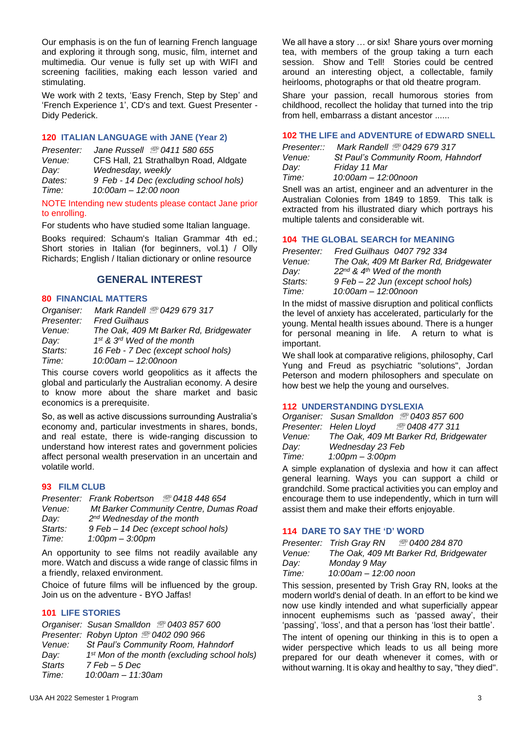Our emphasis is on the fun of learning French language and exploring it through song, music, film, internet and multimedia. Our venue is fully set up with WIFI and screening facilities, making each lesson varied and stimulating.

We work with 2 texts, 'Easy French, Step by Step' and 'French Experience 1', CD's and text. Guest Presenter - Didy Pederick.

## **120 ITALIAN LANGUAGE with JANE (Year 2)**

| Presenter: | Jane Russell <sup>3</sup> 0411 580 655 |
|------------|----------------------------------------|
| Venue:     | CFS Hall, 21 Strathalbyn Road, Aldgate |
| Dav:       | Wednesday, weekly                      |
| Dates:     | 9 Feb - 14 Dec (excluding school hols) |
| Time:      | 10:00am - 12:00 noon                   |
|            |                                        |

NOTE Intending new students please contact Jane prior to enrolling.

For students who have studied some Italian language.

Books required: Schaum's Italian Grammar 4th ed.; Short stories in Italian (for beginners, vol.1) / Olly Richards; English / Italian dictionary or online resource

# **GENERAL INTEREST**

#### **80 FINANCIAL MATTERS**

| Mark Randell 2 0429 679 317            |
|----------------------------------------|
| <b>Fred Guilhaus</b>                   |
| The Oak, 409 Mt Barker Rd, Bridgewater |
| 1st & 3rd Wed of the month             |
| 16 Feb - 7 Dec (except school hols)    |
| 10:00am - 12:00noon                    |
|                                        |

This course covers world geopolitics as it affects the global and particularly the Australian economy. A desire to know more about the share market and basic economics is a prerequisite.

So, as well as active discussions surrounding Australia's economy and, particular investments in shares, bonds, and real estate, there is wide-ranging discussion to understand how interest rates and government policies affect personal wealth preservation in an uncertain and volatile world.

## **93 FILM CLUB**

| Mt Barker Community Centre, Dumas Road |
|----------------------------------------|
|                                        |
|                                        |
|                                        |
|                                        |

An opportunity to see films not readily available any more. Watch and discuss a wide range of classic films in a friendly, relaxed environment.

Choice of future films will be influenced by the group. Join us on the adventure - BYO Jaffas!

## **101 LIFE STORIES**

*Organiser: Susan Smalldon 0403 857 600 Presenter: Robyn Upton 0402 090 966 Venue: St Paul's Community Room, Hahndorf Day: 1 st Mon of the month (excluding school hols) Starts 7 Feb – 5 Dec Time: 10:00am – 11:30am*

We all have a story ... or six! Share yours over morning tea, with members of the group taking a turn each session. Show and Tell! Stories could be centred around an interesting object, a collectable, family heirlooms, photographs or that old theatre program.

Share your passion, recall humorous stories from childhood, recollect the holiday that turned into the trip from hell, embarrass a distant ancestor ......

## **102 THE LIFE and ADVENTURE of EDWARD SNELL**

| Presenter::   | Mark Randell <sup>3</sup> 0429 679 317 |
|---------------|----------------------------------------|
| <i>Venue:</i> | St Paul's Community Room, Hahndor      |
| Day:          | Friday 11 Mar                          |
| Time:         | 10:00am - 12:00noon                    |

Snell was an artist, engineer and an adventurer in the Australian Colonies from 1849 to 1859. This talk is extracted from his illustrated diary which portrays his multiple talents and considerable wit.

## **104 THE GLOBAL SEARCH for MEANING**

| Presenter: | Fred Guilhaus 0407 792 334                   |
|------------|----------------------------------------------|
| Venue:     | The Oak, 409 Mt Barker Rd, Bridgewater       |
| Dav:       | $22^{nd}$ & 4 <sup>th</sup> Wed of the month |
| Starts:    | 9 Feb – 22 Jun (except school hols)          |
| Time:      | 10:00am - 12:00noon                          |

In the midst of massive disruption and political conflicts the level of anxiety has accelerated, particularly for the young. Mental health issues abound. There is a hunger for personal meaning in life. A return to what is important.

We shall look at comparative religions, philosophy, Carl Yung and Freud as psychiatric "solutions", Jordan Peterson and modern philosophers and speculate on how best we help the young and ourselves.

## **112 UNDERSTANDING DYSLEXIA**

|        | Organiser: Susan Smalldon 2 0403 857 600        |
|--------|-------------------------------------------------|
|        | <i>®</i> 0408 477 311<br>Presenter: Helen Lloyd |
| Venue: | The Oak, 409 Mt Barker Rd, Bridgewater          |
| Dav:   | Wednesday 23 Feb                                |
| Time:  | $1:00 \text{pm} - 3:00 \text{pm}$               |
|        |                                                 |

A simple explanation of dyslexia and how it can affect general learning. Ways you can support a child or grandchild. Some practical activities you can employ and encourage them to use independently, which in turn will assist them and make their efforts enjoyable.

## **114 DARE TO SAY THE 'D' WORD**

|        | Presenter: Trish Gray RN | ☎ 0400 284 870                         |
|--------|--------------------------|----------------------------------------|
| Venue: |                          | The Oak, 409 Mt Barker Rd, Bridgewater |
| Dav:   | Monday 9 May             |                                        |

*Time: 10:00am – 12:00 noon*

This session, presented by Trish Gray RN, looks at the modern world's denial of death. In an effort to be kind we now use kindly intended and what superficially appear innocent euphemisms such as 'passed away', their 'passing', 'loss', and that a person has 'lost their battle'.

The intent of opening our thinking in this is to open a wider perspective which leads to us all being more prepared for our death whenever it comes, with or without warning. It is okay and healthy to say, "they died".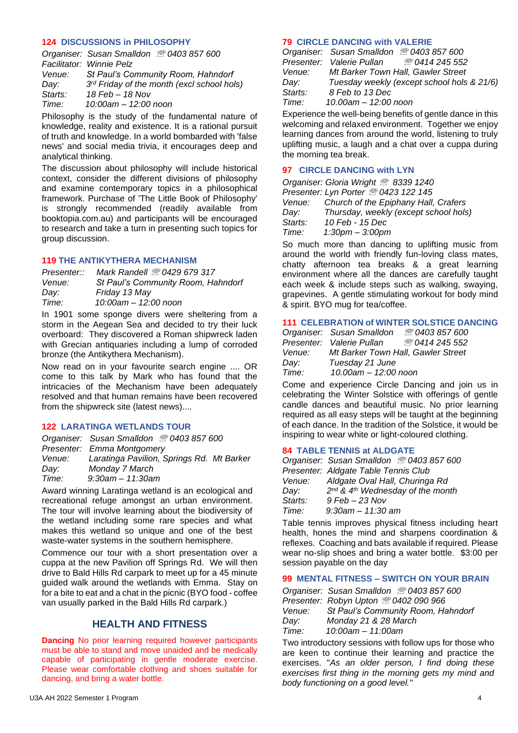## **124 DISCUSSIONS in PHILOSOPHY**

|         | Organiser: Susan Smalldon 2 0403 857 600   |
|---------|--------------------------------------------|
|         | Facilitator: Winnie Pelz                   |
| Venue:  | St Paul's Community Room, Hahndorf         |
| Dav:    | 3rd Friday of the month (excl school hols) |
| Starts: | $18$ Feb $- 18$ Nov                        |
| Time:   | $10:00$ am $- 12:00$ noon                  |
|         |                                            |

Philosophy is the study of the fundamental nature of knowledge, reality and existence. It is a rational pursuit of truth and knowledge. In a world bombarded with 'false news' and social media trivia, it encourages deep and analytical thinking.

The discussion about philosophy will include historical context, consider the different divisions of philosophy and examine contemporary topics in a philosophical framework. Purchase of 'The Little Book of Philosophy' is strongly recommended (readily available from booktopia.com.au) and participants will be encouraged to research and take a turn in presenting such topics for group discussion.

## **119 THE ANTIKYTHERA MECHANISM**

| Presenter::   | Mark Randell <sup>3</sup> 0429 679 317 |
|---------------|----------------------------------------|
| <i>Venue:</i> | St Paul's Community Room, Hahndorf     |
| Day:          | Friday 13 May                          |
| Time:         | 10:00am - 12:00 noon                   |

In 1901 some sponge divers were sheltering from a storm in the Aegean Sea and decided to try their luck overboard: They discovered a Roman shipwreck laden with Grecian antiquaries including a lump of corroded bronze (the Antikythera Mechanism).

Now read on in your favourite search engine .... OR come to this talk by Mark who has found that the intricacies of the Mechanism have been adequately resolved and that human remains have been recovered from the shipwreck site (latest news)....

## **122 LARATINGA WETLANDS TOUR**

| Organiser: Susan Smalldon 2 0403 857 600  |
|-------------------------------------------|
| Presenter: Emma Montgomery                |
| Laratinga Pavilion, Springs Rd. Mt Barker |
| Monday 7 March                            |
| $9:30$ am - 11:30am                       |
|                                           |

Award winning Laratinga wetland is an ecological and recreational refuge amongst an urban environment. The tour will involve learning about the biodiversity of the wetland including some rare species and what makes this wetland so unique and one of the best waste-water systems in the southern hemisphere.

Commence our tour with a short presentation over a cuppa at the new Pavilion off Springs Rd. We will then drive to Bald Hills Rd carpark to meet up for a 45 minute guided walk around the wetlands with Emma. Stay on for a bite to eat and a chat in the picnic (BYO food - coffee van usually parked in the Bald Hills Rd carpark.)

# **HEALTH AND FITNESS**

**Dancing** No prior learning required however participants must be able to stand and move unaided and be medically capable of participating in gentle moderate exercise. Please wear comfortable clothing and shoes suitable for dancing, and bring a water bottle.

## **79 CIRCLE DANCING with VALERIE**

| Organiser: Susan Smalldon 2 0403 857 600             |
|------------------------------------------------------|
| Presenter: Valerie Pullan <sup>28</sup> 0414 245 552 |
| Mt Barker Town Hall, Gawler Street                   |
| Tuesday weekly (except school hols & 21/6)           |
| 8 Feb to 13 Dec                                      |
| 10.00am - 12:00 noon                                 |
|                                                      |

Experience the well-being benefits of gentle dance in this welcoming and relaxed environment. Together we enjoy learning dances from around the world, listening to truly uplifting music, a laugh and a chat over a cuppa during the morning tea break.

## **97 CIRCLE DANCING with LYN**

|         | Organiser: Gloria Wright 2 8339 1240            |
|---------|-------------------------------------------------|
|         | Presenter: Lyn Porter <sup>®</sup> 0423 122 145 |
|         | Venue: Church of the Epiphany Hall, Crafers     |
| Dav:    | Thursday, weekly (except school hols)           |
| Starts: | 10 Feb - 15 Dec                                 |
| Time:   | $1:30$ pm $-3:00$ pm                            |

So much more than dancing to uplifting music from around the world with friendly fun-loving class mates, chatty afternoon tea breaks & a great learning environment where all the dances are carefully taught each week & include steps such as walking, swaying, grapevines. A gentle stimulating workout for body mind & spirit. BYO mug for tea/coffee.

## **111 CELEBRATION of WINTER SOLSTICE DANCING**

|        | Organiser: Susan Smalldon          | ඁ 0403 857 600               |
|--------|------------------------------------|------------------------------|
|        | Presenter: Valerie Pullan          | <i><b>® 0414 245 552</b></i> |
| Venue: | Mt Barker Town Hall, Gawler Street |                              |
| Dav:   | Tuesday 21 June                    |                              |
| Time:  | 10.00am - 12:00 noon               |                              |

Come and experience Circle Dancing and join us in celebrating the Winter Solstice with offerings of gentle candle dances and beautiful music. No prior learning required as all easy steps will be taught at the beginning of each dance. In the tradition of the Solstice, it would be inspiring to wear white or light-coloured clothing.

## **84 TABLE TENNIS at ALDGATE**

|         | Organiser: Susan Smalldon 2 0403 857 600                 |
|---------|----------------------------------------------------------|
|         | Presenter: Aldgate Table Tennis Club                     |
| Venue:  | Aldgate Oval Hall, Churinga Rd                           |
| Dav:    | 2 <sup>nd</sup> & 4 <sup>th</sup> Wednesday of the month |
| Starts: | $9$ Feb – 23 Nov                                         |
| Time:   | $9:30$ am - 11:30 am                                     |

Table tennis improves physical fitness including heart health, hones the mind and sharpens coordination & reflexes. Coaching and bats available if required. Please wear no-slip shoes and bring a water bottle. \$3:00 per session payable on the day

## **99 MENTAL FITNESS – SWITCH ON YOUR BRAIN**

|        | Organiser: Susan Smalldon 2 0403 857 600 |
|--------|------------------------------------------|
|        | Presenter: Robyn Upton 2 0402 090 966    |
| Venue: | St Paul's Community Room, Hahndorf       |
| Dav:   | Monday 21 & 28 March                     |
| Time:  | $10:00$ am - $11:00$ am                  |

Two introductory sessions with follow ups for those who are keen to continue their learning and practice the exercises. "*As an older person, I find doing these exercises first thing in the morning gets my mind and body functioning on a good level."*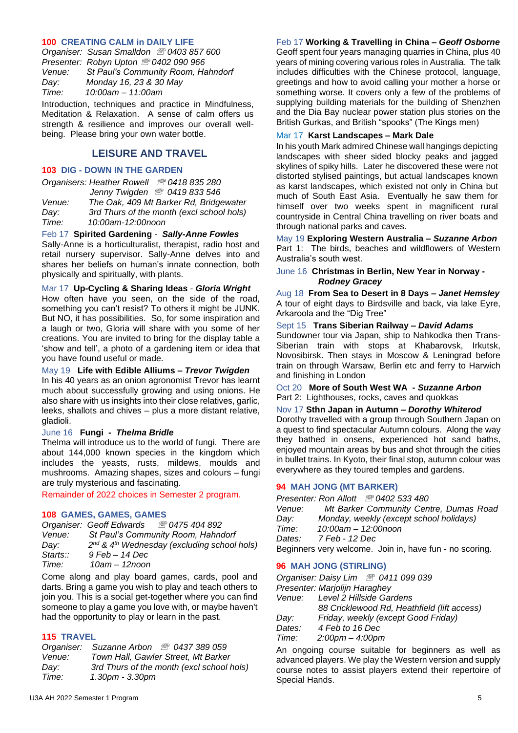### **100 CREATING CALM in DAILY LIFE**

*Organiser: Susan Smalldon 0403 857 600 Presenter: Robyn Upton 0402 090 966 Venue: St Paul's Community Room, Hahndorf Day: Monday 16, 23 & 30 May Time: 10:00am – 11:00am*

Introduction, techniques and practice in Mindfulness, Meditation & Relaxation. A sense of calm offers us strength & resilience and improves our overall wellbeing. Please bring your own water bottle.

## **LEISURE AND TRAVEL**

## **103 DIG - DOWN IN THE GARDEN**

|        | Organisers: Heather Rowell 200418835280   |
|--------|-------------------------------------------|
|        | Jenny Twigden 2 0419 833 546              |
| Venue: | The Oak, 409 Mt Barker Rd, Bridgewater    |
| Dav:   | 3rd Thurs of the month (excl school hols) |
| Time:  | 10:00am-12:00noon                         |

## Feb 17 **Spirited Gardening** - *Sally-Anne Fowles*

Sally-Anne is a horticulturalist, therapist, radio host and retail nursery supervisor. Sally-Anne delves into and shares her beliefs on human's innate connection, both physically and spiritually, with plants.

#### Mar 17 **Up-Cycling & Sharing Ideas** - *Gloria Wright*

How often have you seen, on the side of the road, something you can't resist? To others it might be JUNK. But NO, it has possibilities. So, for some inspiration and a laugh or two, Gloria will share with you some of her creations. You are invited to bring for the display table a 'show and tell', a photo of a gardening item or idea that you have found useful or made.

#### May 19 **Life with Edible Alliums –** *Trevor Twigden*

In his 40 years as an onion agronomist Trevor has learnt much about successfully growing and using onions. He also share with us insights into their close relatives, garlic, leeks, shallots and chives – plus a more distant relative, gladioli.

## June 16 **Fungi -** *Thelma Bridle*

Thelma will introduce us to the world of fungi. There are about 144,000 known species in the kingdom which includes the yeasts, rusts, mildews, moulds and mushrooms. Amazing shapes, sizes and colours – fungi are truly mysterious and fascinating.

Remainder of 2022 choices in Semester 2 program.

## **108 GAMES, GAMES, GAMES**

|          | Organiser: Geoff Edwards | <i><u>® 0475 404 892</u></i>                                        |
|----------|--------------------------|---------------------------------------------------------------------|
| Venue:   |                          | St Paul's Community Room, Hahndorf                                  |
| Dav:     |                          | 2 <sup>nd</sup> & 4 <sup>th</sup> Wednesday (excluding school hols) |
| Starts:: | 9 Feb - 14 Dec           |                                                                     |
| Time:    | 10am - 12noon            |                                                                     |

Come along and play board games, cards, pool and darts. Bring a game you wish to play and teach others to join you. This is a social get-together where you can find someone to play a game you love with, or maybe haven't had the opportunity to play or learn in the past.

## **115 TRAVEL**

|        | Organiser: Suzanne Arbon <sup>3</sup> 0437 389 059 |
|--------|----------------------------------------------------|
| Venue: | Town Hall, Gawler Street, Mt Barker                |
| Dav:   | 3rd Thurs of the month (excl school hols)          |
| Time:  | 1.30pm - 3.30pm                                    |

## Feb 17 **Working & Travelling in China –** *Geoff Osborne*

Geoff spent four years managing quarries in China, plus 40 years of mining covering various roles in Australia. The talk includes difficulties with the Chinese protocol, language, greetings and how to avoid calling your mother a horse or something worse. It covers only a few of the problems of supplying building materials for the building of Shenzhen and the Dia Bay nuclear power station plus stories on the British Gurkas, and British "spooks" (The Kings men)

## Mar 17 **Karst Landscapes – Mark Dale**

In his youth Mark admired Chinese wall hangings depicting landscapes with sheer sided blocky peaks and jagged skylines of spiky hills. Later he discovered these were not distorted stylised paintings, but actual landscapes known as karst landscapes, which existed not only in China but much of South East Asia. Eventually he saw them for himself over two weeks spent in magnificent rural countryside in Central China travelling on river boats and through national parks and caves.

#### May 19 **Exploring Western Australia –** *Suzanne Arbon* Part 1: The birds, beaches and wildflowers of Western Australia's south west.

## June 16 **Christmas in Berlin, New Year in Norway -** *Rodney Gracey*

Aug 18 **From Sea to Desert in 8 Days –** *Janet Hemsley* A tour of eight days to Birdsville and back, via lake Eyre, Arkaroola and the "Dig Tree"

#### Sept 15 **Trans Siberian Railway –** *David Adams*

Sundowner tour via Japan, ship to Nahkodka then Trans-Siberian train with stops at Khabarovsk, Irkutsk, Novosibirsk. Then stays in Moscow & Leningrad before train on through Warsaw, Berlin etc and ferry to Harwich and finishing in London

Oct 20 **More of South West WA -** *Suzanne Arbon* Part 2: Lighthouses, rocks, caves and quokkas

## Nov 17 **Sthn Japan in Autumn –** *Dorothy Whiterod*

Dorothy travelled with a group through Southern Japan on a quest to find spectacular Autumn colours. Along the way they bathed in onsens, experienced hot sand baths, enjoyed mountain areas by bus and shot through the cities in bullet trains. In Kyoto, their final stop, autumn colour was everywhere as they toured temples and gardens.

## **94 MAH JONG (MT BARKER)**

*Presenter: Ron Allott 0402 533 480 Venue: Mt Barker Community Centre, Dumas Road Day: Monday, weekly (except school holidays) Time: 10:00am – 12:00noon Dates: 7 Feb - 12 Dec* Beginners very welcome. Join in, have fun - no scoring.

## **96 MAH JONG (STIRLING)**

*Organiser: Daisy Lim 0411 099 039 Presenter: Marjolijn Haraghey Venue: Level 2 Hillside Gardens 88 Cricklewood Rd, Heathfield (lift access) Day: Friday, weekly (except Good Friday) Dates: 4 Feb to 16 Dec Time: 2:00pm – 4:00pm*

An ongoing course suitable for beginners as well as advanced players. We play the Western version and supply course notes to assist players extend their repertoire of Special Hands.